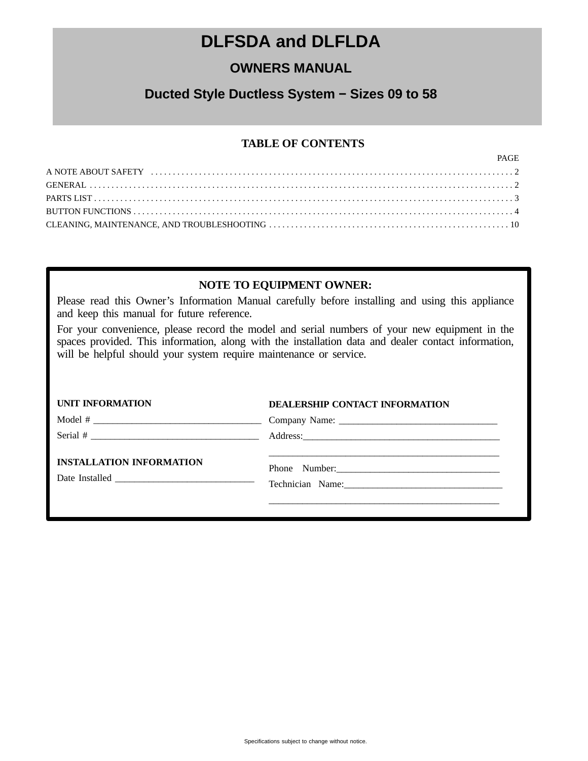# **DLFSDA and DLFLDA**

# **OWNERS MANUAL**

# **Ducted Style Ductless System − Sizes 09 to 58**

# **TABLE OF CONTENTS**

| PAGE |
|------|
|      |
|      |
|      |
|      |
|      |

# **NOTE TO EQUIPMENT OWNER:**

Please read this Owner's Information Manual carefully before installing and using this appliance and keep this manual for future reference.

For your convenience, please record the model and serial numbers of your new equipment in the spaces provided. This information, along with the installation data and dealer contact information, will be helpful should your system require maintenance or service.

| <b>UNIT INFORMATION</b>         | <b>DEALERSHIP CONTACT INFORMATION</b>  |
|---------------------------------|----------------------------------------|
|                                 |                                        |
|                                 |                                        |
| <b>INSTALLATION INFORMATION</b> | Phone Number:<br>Technician Name: 1988 |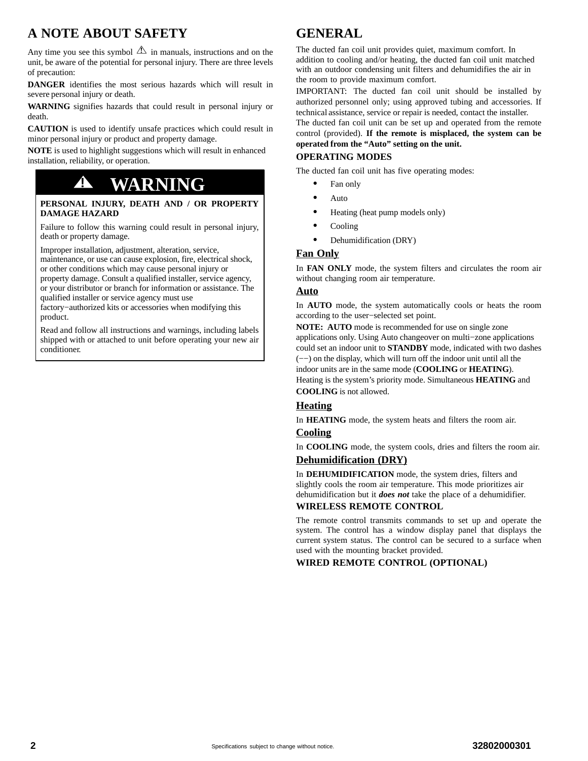# <span id="page-1-0"></span>**A NOTE ABOUT SAFETY**

Any time you see this symbol  $\Delta$  in manuals, instructions and on the unit, be aware of the potential for personal injury. There are three levels of precaution:

**DANGER** identifies the most serious hazards which will result in severe personal injury or death.

**WARNING** signifies hazards that could result in personal injury or death.

**CAUTION** is used to identify unsafe practices which could result in minor personal injury or product and property damage.

**NOTE** is used to highlight suggestions which will result in enhanced installation, reliability, or operation.

# **! WARNING**

#### **PERSONAL INJURY, DEATH AND / OR PROPERTY DAMAGE HAZARD**

Failure to follow this warning could result in personal injury, death or property damage.

Improper installation, adjustment, alteration, service, maintenance, or use can cause explosion, fire, electrical shock, or other conditions which may cause personal injury or property damage. Consult a qualified installer, service agency, or your distributor or branch for information or assistance. The

qualified installer or service agency must use factory−authorized kits or accessories when modifying this product.

Read and follow all instructions and warnings, including labels shipped with or attached to unit before operating your new air conditioner.

# **GENERAL**

The ducted fan coil unit provides quiet, maximum comfort. In addition to cooling and/or heating, the ducted fan coil unit matched with an outdoor condensing unit filters and dehumidifies the air in the room to provide maximum comfort.

IMPORTANT: The ducted fan coil unit should be installed by authorized personnel only; using approved tubing and accessories. If technical assistance, service or repair is needed, contact the installer.

The ducted fan coil unit can be set up and operated from the remote control (provided). **If the remote is misplaced, the system can be operated from the "Auto" setting on the unit.**

# **OPERATING MODES**

The ducted fan coil unit has five operating modes:

- $\bullet$ Fan only
- $\bullet$ Auto
- $\bullet$ Heating (heat pump models only)
- $\bullet$ Cooling
- $\bullet$ Dehumidification (DRY)

# **Fan Only**

In **FAN ONLY** mode, the system filters and circulates the room air without changing room air temperature.

# **Auto**

In **AUTO** mode, the system automatically cools or heats the room according to the user−selected set point.

**NOTE: AUTO** mode is recommended for use on single zone applications only. Using Auto changeover on multi−zone applications could set an indoor unit to **STANDBY** mode, indicated with two dashes (−−) on the display, which will turn off the indoor unit until all the indoor units are in the same mode (**COOLING** or **HEATING**). Heating is the system's priority mode. Simultaneous **HEATING** and **COOLING** is not allowed.

# **Heating**

In **HEATING** mode, the system heats and filters the room air.

## **Cooling**

In **COOLING** mode, the system cools, dries and filters the room air.

# **Dehumidification (DRY)**

In **DEHUMIDIFICATION** mode, the system dries, filters and slightly cools the room air temperature. This mode prioritizes air dehumidification but it *does not* take the place of a dehumidifier.

## **WIRELESS REMOTE CONTROL**

The remote control transmits commands to set up and operate the system. The control has a window display panel that displays the current system status. The control can be secured to a surface when used with the mounting bracket provided.

# **WIRED REMOTE CONTROL (OPTIONAL)**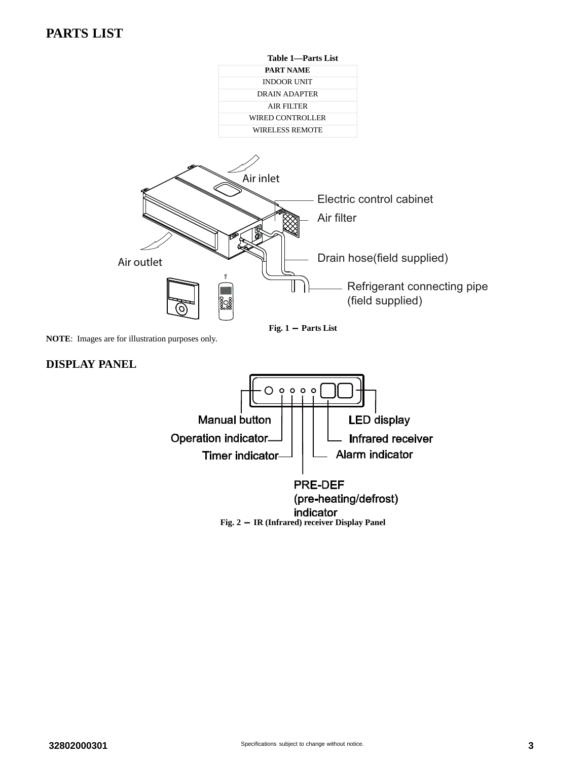# <span id="page-2-0"></span>**PARTS LIST**



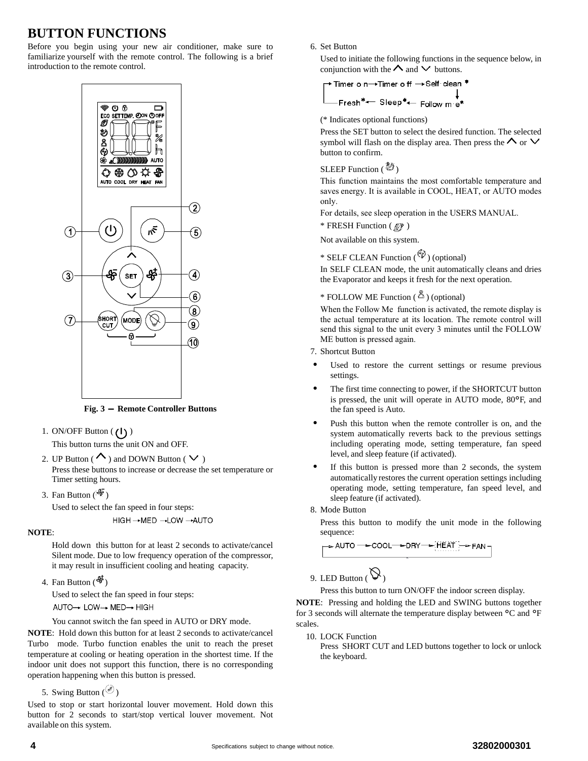# <span id="page-3-0"></span>**BUTTON FUNCTIONS**

Before you begin using your new air conditioner, make sure to familiarize yourself with the remote control. The following is a brief introduction to the remote control.



**Fig. 3 - Remote Controller Buttons**

1. ON/OFF Button  $(1)$ 

This button turns the unit ON and OFF.

- 2. UP Button ( $\sim$ ) and DOWN Button ( $\vee$ ) Press these buttons to increase or decrease the set temperature or Timer setting hours.
- 3. Fan Button  $(\frac{4}{3})$

Used to select the fan speed in four steps: HIGH → MED - LOW - AUTO

#### **NOTE**:

Hold down this button for at least 2 seconds to activate/cancel Silent mode. Due to low frequency operation of the compressor, it may result in insufficient cooling and heating capacity.

4. Fan Button  $(\frac{4}{3})$ 

Used to select the fan speed in four steps:

AUTO→ LOW→ MED→ HIGH

You cannot switch the fan speed in AUTO or DRY mode.

**NOTE**: Hold down this button for at least 2 seconds to activate/cancel Turbo mode. Turbo function enables the unit to reach the preset temperature at cooling or heating operation in the shortest time. If the indoor unit does not support this function, there is no corresponding operation happening when this button is pressed.

5. Swing Button  $\binom{65}{}$ 

Used to stop or start horizontal louver movement. Hold down this button for 2 seconds to start/stop vertical louver movement. Not available on this system.

6. Set Button

Used to initiate the following functions in the sequence below, in conjunction with the  $\Lambda$  and  $\vee$  buttons.

7-Timer o n→Timer o ff → Self clean

\n1. 
$$
\downarrow
$$

\n5.  $\downarrow$ 

\n6.  $\downarrow$ 

\n7.  $\downarrow$ 

\n8.  $\downarrow$ 

\n9.  $\downarrow$ 

\n1.  $\downarrow$ 

\n1.  $\downarrow$ 

\n1.  $\downarrow$ 

\n1.  $\downarrow$ 

\n1.  $\downarrow$ 

\n2.  $\downarrow$ 

\n3.  $\downarrow$ 

\n4.  $\downarrow$ 

\n5.  $\downarrow$ 

\n6.  $\downarrow$ 

\n7.  $\downarrow$ 

\n8.  $\downarrow$ 

\n9.  $\downarrow$ 

\n1.  $\downarrow$ 

\n1.  $\downarrow$ 

\n2.  $\downarrow$ 

\n3.  $\downarrow$ 

\n4.  $\downarrow$ 

\n5.  $\downarrow$ 

\n6.  $\downarrow$ 

\n7.  $\downarrow$ 

\n8.  $\downarrow$ 

\n9.  $\downarrow$ 

\n1.  $\downarrow$ 

\n1.  $\downarrow$ 

\n2.  $\downarrow$ 

\n3.  $\downarrow$ 

\n4.  $\downarrow$ 

\n5.  $\downarrow$ 

\n6.  $\downarrow$ 

\n7.  $\downarrow$ 

\n8.  $\downarrow$ 

\n9.  $\downarrow$ 

\n1.  $\downarrow$ 

\n1.  $\downarrow$ 

\n2. <math display="inline</p>

(\* Indicates optional functions)

Press the SET button to select the desired function. The selected symbol will flash on the display area. Then press the  $\Lambda$  or  $\vee$ button to confirm.

# SLEEP Function  $(\bigotimes^{\mathcal{B}})$

This function maintains the most comfortable temperature and saves energy. It is available in COOL, HEAT, or AUTO modes only.

For details, see sleep operation in the USERS MANUAL.

 $*$  FRESH Function ( $@$ )

Not available on this system.

\* SELF CLEAN Function  $(\overset{\mathscr{C}_{\mathscr{V}}}{\mathscr{V}})$  (optional)

In SELF CLEAN mode, the unit automatically cleans and dries the Evaporator and keeps it fresh for the next operation.

# \* FOLLOW ME Function  $(\overset{\otimes}{\bullet})$  (optional)

When the Follow Me function is activated, the remote display is the actual temperature at its location. The remote control will send this signal to the unit every 3 minutes until the FOLLOW ME button is pressed again.

- 7. Shortcut Button
- - Used to restore the current settings or resume previous settings.
- - The first time connecting to power, if the SHORTCUT button is pressed, the unit will operate in AUTO mode, 80°F, and the fan speed is Auto.
- - Push this button when the remote controller is on, and the system automatically reverts back to the previous settings including operating mode, setting temperature, fan speed level, and sleep feature (if activated).
- - If this button is pressed more than 2 seconds, the system automatically restores the current operation settings including operating mode, setting temperature, fan speed level, and sleep feature (if activated).
- 8. Mode Button

Press this button to modify the unit mode in the following sequence:

$$
\rightarrow \text{AUTO} \rightarrow \text{COOL} \rightarrow \text{DRY} \rightarrow \text{HEAT} \rightarrow \text{FAN} \rightarrow
$$

9. LED Button  $(\bigotimes)$ 

Press this button to turn ON/OFF the indoor screen display.

**NOTE**: Pressing and holding the LED and SWING buttons together for 3 seconds will alternate the temperature display between °C and °<sup>F</sup> scales.

10. LOCK Function

Press SHORT CUT and LED buttons together to lock or unlock the keyboard.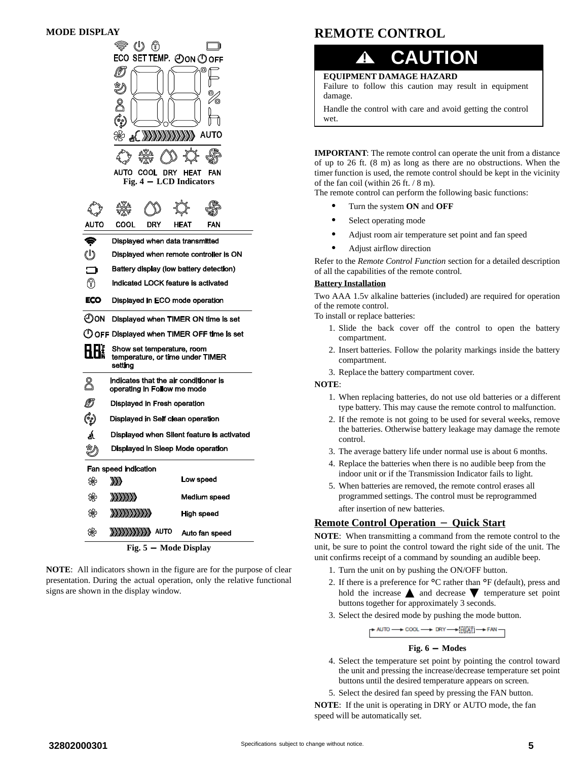

**NOTE**: All indicators shown in the figure are for the purpose of clear presentation. During the actual operation, only the relative functional signs are shown in the display window.

# **REMOTE CONTROL**



**EQUIPMENT DAMAGE HAZARD**

Failure to follow this caution may result in equipment damage.

Handle the control with care and avoid getting the control wet.

**IMPORTANT**: The remote control can operate the unit from a distance of up to 26 ft. (8 m) as long as there are no obstructions. When the timer function is used, the remote control should be kept in the vicinity of the fan coil (within 26 ft. / 8 m).

The remote control can perform the following basic functions:

- $\bullet$ Turn the system **ON** and **OFF**
- $\bullet$ Select operating mode
- -Adjust room air temperature set point and fan speed
- $\bullet$ Adjust airflow direction

Refer to the *Remote Control Function* section for a detailed description of all the capabilities of the remote control.

#### **Battery Installation**

Two AAA 1.5v alkaline batteries (included) are required for operation of the remote control.

To install or replace batteries:

- 1. Slide the back cover off the control to open the battery compartment.
- 2. Insert batteries. Follow the polarity markings inside the battery compartment.
- 3. Replace the battery compartment cover.

#### **NOTE**:

- 1. When replacing batteries, do not use old batteries or a different type battery. This may cause the remote control to malfunction.
- 2. If the remote is not going to be used for several weeks, remove the batteries. Otherwise battery leakage may damage the remote control.
- 3. The average battery life under normal use is about 6 months.
- 4. Replace the batteries when there is no audible beep from the indoor unit or if the Transmission Indicator fails to light.
- 5. When batteries are removed, the remote control erases all programmed settings. The control must be reprogrammed after insertion of new batteries.

# **Remote Control Operation** - **Quick Start**

**NOTE**: When transmitting a command from the remote control to the unit, be sure to point the control toward the right side of the unit. The unit confirms receipt of a command by sounding an audible beep.

- 1. Turn the unit on by pushing the ON/OFF button.
- 2. If there is a preference for °C rather than °F (default), press and hold the increase  $\triangle$  and decrease  $\nabla$  temperature set point buttons together for approximately 3 seconds.
- 3. Select the desired mode by pushing the mode button.

NUTO → COOL → DRY → FRATI → FAN

#### **Fig. 6 - Modes**

- 4. Select the temperature set point by pointing the control toward the unit and pressing the increase/decrease temperature set point buttons until the desired temperature appears on screen.
- 5. Select the desired fan speed by pressing the FAN button.

**NOTE**: If the unit is operating in DRY or AUTO mode, the fan speed will be automatically set.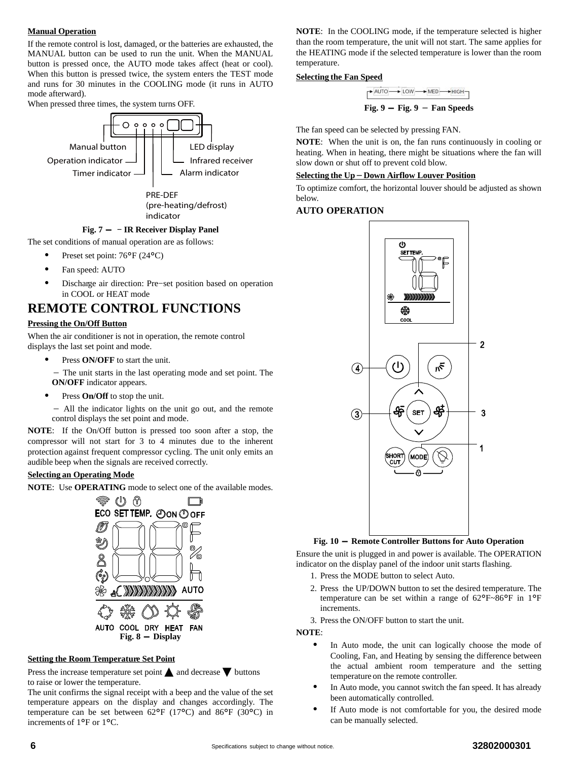#### **Manual Operation**

If the remote control is lost, damaged, or the batteries are exhausted, the MANUAL button can be used to run the unit. When the MANUAL button is pressed once, the AUTO mode takes affect (heat or cool). When this button is pressed twice, the system enters the TEST mode and runs for 30 minutes in the COOLING mode (it runs in AUTO mode afterward).

When pressed three times, the system turns OFF.



#### **Fig. 7 - − IR Receiver Display Panel**

The set conditions of manual operation are as follows:

- $\bullet$ Preset set point: 76°F (24°C)
- -Fan speed: AUTO
- $\bullet$  Discharge air direction: Pre−set position based on operation in COOL or HEAT mode

# **REMOTE CONTROL FUNCTIONS**

### **Pressing the On/Off Button**

When the air conditioner is not in operation, the remote control displays the last set point and mode.

- -Press **ON/OFF** to start the unit.
- The unit starts in the last operating mode and set point. The **ON/OFF** indicator appears.
- -Press **On/Off** to stop the unit.
- All the indicator lights on the unit go out, and the remote control displays the set point and mode.

**NOTE**: If the On/Off button is pressed too soon after a stop, the compressor will not start for 3 to 4 minutes due to the inherent protection against frequent compressor cycling. The unit only emits an audible beep when the signals are received correctly.

### **Selecting an Operating Mode**

**NOTE**: Use **OPERATING** mode to select one of the available modes.



#### **Setting the Room Temperature Set Point**

Press the increase temperature set point  $\triangle$  and decrease  $\nabla$  buttons to raise or lower the temperature.

The unit confirms the signal receipt with a beep and the value of the set temperature appears on the display and changes accordingly. The temperature can be set between 62°F (17°C) and 86°F (30°C) in increments of 1°F or 1°C.

**NOTE**: In the COOLING mode, if the temperature selected is higher than the room temperature, the unit will not start. The same applies for the HEATING mode if the selected temperature is lower than the room temperature.

#### **Selecting the Fan Speed**

 $\rightarrow$  AUTO  $\rightarrow$  LOW  $\rightarrow$  MED  $\rightarrow$  HIGH-

**Fig. 9 - Fig. 9** - **Fan Speeds**

The fan speed can be selected by pressing FAN.

**NOTE**: When the unit is on, the fan runs continuously in cooling or heating. When in heating, there might be situations where the fan will slow down or shut off to prevent cold blow.

# **Selecting the Up**-**Down Airflow Louver Position**

To optimize comfort, the horizontal louver should be adjusted as shown below.

#### **AUTO OPERATION**



#### **Fig. 10 - Remote Controller Buttons for Auto Operation**

Ensure the unit is plugged in and power is available. The OPERATION indicator on the display panel of the indoor unit starts flashing.

- 1. Press the MODE button to select Auto.
- 2. Press the UP/DOWN button to set the desired temperature. The temperature can be set within a range of 62°F~86°F in 1°<sup>F</sup> increments.

3. Press the ON/OFF button to start the unit.

**NOTE**:

- $\bullet$  In Auto mode, the unit can logically choose the mode of Cooling, Fan, and Heating by sensing the difference between the actual ambient room temperature and the setting temperature on the remote controller.
- - In Auto mode, you cannot switch the fan speed. It has already been automatically controlled.
- - If Auto mode is not comfortable for you, the desired mode can be manually selected.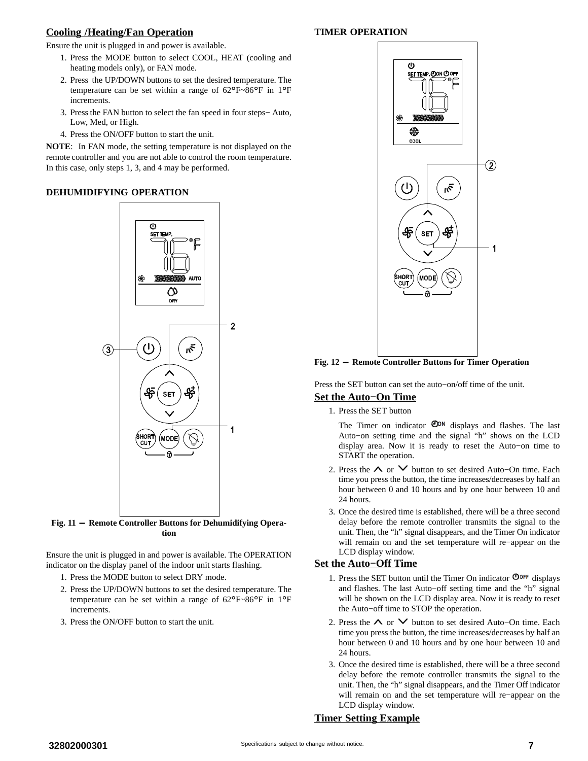# **Cooling /Heating/Fan Operation**

Ensure the unit is plugged in and power is available.

- 1. Press the MODE button to select COOL, HEAT (cooling and heating models only), or FAN mode.
- 2. Press the UP/DOWN buttons to set the desired temperature. The temperature can be set within a range of 62°F~86°F in 1°<sup>F</sup> increments.
- 3. Press the FAN button to select the fan speed in four steps− Auto, Low, Med, or High.
- 4. Press the ON/OFF button to start the unit.

**NOTE**: In FAN mode, the setting temperature is not displayed on the remote controller and you are not able to control the room temperature. In this case, only steps 1, 3, and 4 may be performed.

# **DEHUMIDIFYING OPERATION**



**Fig. 11 - Remote Controller Buttons for Dehumidifying Operation**

Ensure the unit is plugged in and power is available. The OPERATION indicator on the display panel of the indoor unit starts flashing.

- 1. Press the MODE button to select DRY mode.
- 2. Press the UP/DOWN buttons to set the desired temperature. The temperature can be set within a range of 62°F~86°F in 1°<sup>F</sup> increments.
- 3. Press the ON/OFF button to start the unit.

# **TIMER OPERATION**



**Fig. 12 - Remote Controller Buttons for Timer Operation**

Press the SET button can set the auto−on/off time of the unit.

# **Set the Auto−On Time**

1. Press the SET button

The Timer on indicator  $\mathbf{O}^{on}$  displays and flashes. The last Auto−on setting time and the signal "h" shows on the LCD display area. Now it is ready to reset the Auto−on time to START the operation.

- 2. Press the ∧ or ∨ button to set desired Auto–On time. Each time you press the button, the time increases/decreases by half an hour between 0 and 10 hours and by one hour between 10 and 24 hours.
- 3. Once the desired time is established, there will be a three second delay before the remote controller transmits the signal to the unit. Then, the "h" signal disappears, and the Timer On indicator will remain on and the set temperature will re−appear on the LCD display window.

# **Set the Auto−Off Time**

- 1. Press the SET button until the Timer On indicator  $\mathbf{O}^{\text{OFF}}$  displays and flashes. The last Auto−off setting time and the "h" signal will be shown on the LCD display area. Now it is ready to reset the Auto−off time to STOP the operation.
- 2. Press the ∧ or ∨ button to set desired Auto–On time. Each time you press the button, the time increases/decreases by half an hour between 0 and 10 hours and by one hour between 10 and 24 hours.
- 3. Once the desired time is established, there will be a three second delay before the remote controller transmits the signal to the unit. Then, the "h" signal disappears, and the Timer Off indicator will remain on and the set temperature will re−appear on the LCD display window.

# **Timer Setting Example**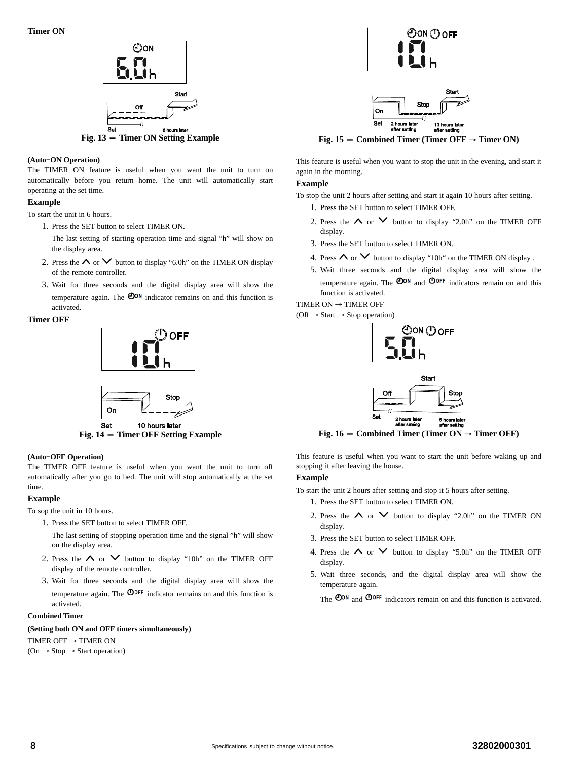

#### **(Auto−ON Operation)**

The TIMER ON feature is useful when you want the unit to turn on automatically before you return home. The unit will automatically start operating at the set time.

#### **Example**

To start the unit in 6 hours.

1. Press the SET button to select TIMER ON.

The last setting of starting operation time and signal "h" will show on the display area.

- 2. Press the  $\land$  or  $\lor$  button to display "6.0h" on the TIMER ON display of the remote controller.
- 3. Wait for three seconds and the digital display area will show the temperature again. The  $\bullet$ <sup>ow</sup> indicator remains on and this function is activated.

#### **Timer OFF**





**Fig. 14 - Timer OFF Setting Example**

#### **(Auto−OFF Operation)**

The TIMER OFF feature is useful when you want the unit to turn off automatically after you go to bed. The unit will stop automatically at the set time.

#### **Example**

To sop the unit in 10 hours.

- 1. Press the SET button to select TIMER OFF.
	- The last setting of stopping operation time and the signal "h" will show on the display area.
- 2. Press the  $\land$  or  $\lor$  button to display "10h" on the TIMER OFF display of the remote controller.
- 3. Wait for three seconds and the digital display area will show the temperature again. The  $\mathbf{O}^{\text{OFF}}$  indicator remains on and this function is activated.

#### **Combined Timer**

#### **(Setting both ON and OFF timers simultaneously)**

TIMER OFF  $\rightarrow$  TIMER ON

 $(On \rightarrow Stop \rightarrow Start\ operation)$ 





**Fig. 15** - Combined Timer (Timer OFF  $\rightarrow$  Timer ON)

This feature is useful when you want to stop the unit in the evening, and start it again in the morning.

#### **Example**

To stop the unit 2 hours after setting and start it again 10 hours after setting.

- 1. Press the SET button to select TIMER OFF.
- 2. Press the  $\land$  or  $\lor$  button to display "2.0h" on the TIMER OFF display.
- 3. Press the SET button to select TIMER ON.
- 4. Press  $\land$  or  $\lor$  button to display "10h" on the TIMER ON display .
- 5. Wait three seconds and the digital display area will show the temperature again. The  $\bullet$ <sup>o</sup> and  $\bullet$ <sup>orf</sup> indicators remain on and this function is activated.

TIMER ON  $\rightarrow$  TIMER OFF

 $(Off \rightarrow Start \rightarrow Stop operation)$ 



**Fig. 16** - **Combined Timer (Timer ON**  $\rightarrow$  **Timer OFF)** 

This feature is useful when you want to start the unit before waking up and stopping it after leaving the house.

#### **Example**

To start the unit 2 hours after setting and stop it 5 hours after setting.

- 1. Press the SET button to select TIMER ON.
- 2. Press the  $\land$  or  $\lor$  button to display "2.0h" on the TIMER ON display.
- 3. Press the SET button to select TIMER OFF.
- 4. Press the  $\land$  or  $\lor$  button to display "5.0h" on the TIMER OFF display.
- 5. Wait three seconds, and the digital display area will show the temperature again.

The  $\bullet$ <sup>OON</sup> and  $\bullet$ <sup>OOFF</sup> indicators remain on and this function is activated.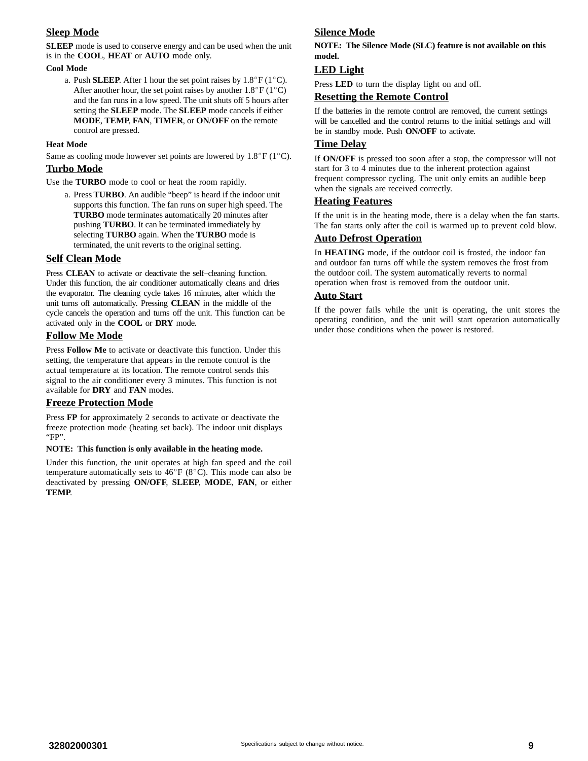# **Sleep Mode**

**SLEEP** mode is used to conserve energy and can be used when the unit is in the **COOL**, **HEAT** or **AUTO** mode only.

#### **Cool Mode**

a. Push **SLEEP**. After 1 hour the set point raises by  $1.8^{\circ}F(1^{\circ}C)$ . After another hour, the set point raises by another  $1.8^{\circ}$ F (1 $^{\circ}$ C) and the fan runs in a low speed. The unit shuts off 5 hours after setting the **SLEEP** mode. The **SLEEP** mode cancels if either **MODE**, **TEMP**, **FAN**, **TIMER**, or **ON/OFF** on the remote control are pressed.

#### **Heat Mode**

Same as cooling mode however set points are lowered by  $1.8^{\circ}$  F (1<sup>o</sup>C).

#### **Turbo Mode**

Use the **TURBO** mode to cool or heat the room rapidly.

a. Press **TURBO**. An audible "beep" is heard if the indoor unit supports this function. The fan runs on super high speed. The **TURBO** mode terminates automatically 20 minutes after pushing **TURBO**. It can be terminated immediately by selecting **TURBO** again. When the **TURBO** mode is terminated, the unit reverts to the original setting.

#### **Self Clean Mode**

Press **CLEAN** to activate or deactivate the self−cleaning function. Under this function, the air conditioner automatically cleans and dries the evaporator. The cleaning cycle takes 16 minutes, after which the unit turns off automatically. Pressing **CLEAN** in the middle of the cycle cancels the operation and turns off the unit. This function can be activated only in the **COOL** or **DRY** mode.

#### **Follow Me Mode**

Press **Follow Me** to activate or deactivate this function. Under this setting, the temperature that appears in the remote control is the actual temperature at its location. The remote control sends this signal to the air conditioner every 3 minutes. This function is not available for **DRY** and **FAN** modes.

## **Freeze Protection Mode**

Press **FP** for approximately 2 seconds to activate or deactivate the freeze protection mode (heating set back). The indoor unit displays "FP".

#### **NOTE: This function is only available in the heating mode.**

Under this function, the unit operates at high fan speed and the coil temperature automatically sets to  $46^{\circ}F (8^{\circ}C)$ . This mode can also be deactivated by pressing **ON/OFF**, **SLEEP**, **MODE**, **FAN**, or either **TEMP**.

# **Silence Mode**

**NOTE: The Silence Mode (SLC) feature is not available on this model.**

### **LED Light**

Press **LED** to turn the display light on and off.

#### **Resetting the Remote Control**

If the batteries in the remote control are removed, the current settings will be cancelled and the control returns to the initial settings and will be in standby mode. Push **ON/OFF** to activate.

### **Time Delay**

If **ON/OFF** is pressed too soon after a stop, the compressor will not start for 3 to 4 minutes due to the inherent protection against frequent compressor cycling. The unit only emits an audible beep when the signals are received correctly.

#### **Heating Features**

If the unit is in the heating mode, there is a delay when the fan starts. The fan starts only after the coil is warmed up to prevent cold blow.

# **Auto Defrost Operation**

In **HEATING** mode, if the outdoor coil is frosted, the indoor fan and outdoor fan turns off while the system removes the frost from the outdoor coil. The system automatically reverts to normal operation when frost is removed from the outdoor unit.

#### **Auto Start**

If the power fails while the unit is operating, the unit stores the operating condition, and the unit will start operation automatically under those conditions when the power is restored.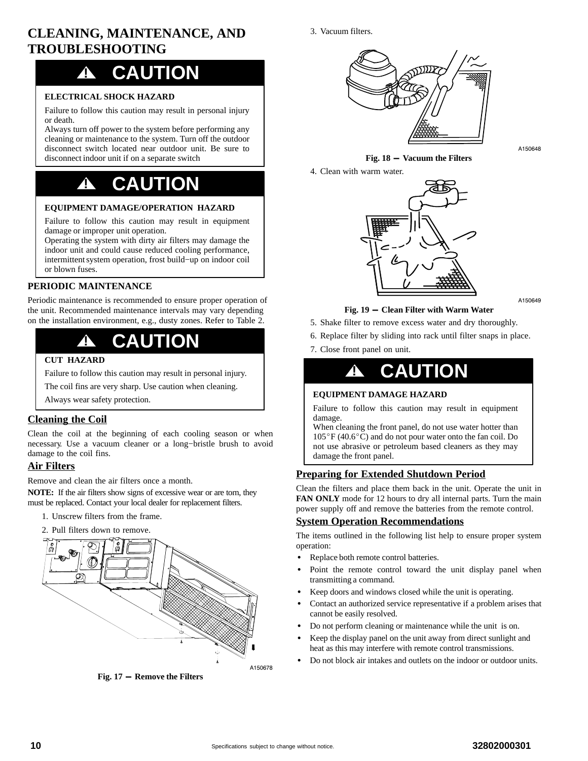# <span id="page-9-0"></span>**CLEANING, MAINTENANCE, AND TROUBLESHOOTING**

# **! CAUTION**

### **ELECTRICAL SHOCK HAZARD**

Failure to follow this caution may result in personal injury or death.

Always turn off power to the system before performing any cleaning or maintenance to the system. Turn off the outdoor disconnect switch located near outdoor unit. Be sure to disconnect indoor unit if on a separate switch

# **! CAUTION**

## **EQUIPMENT DAMAGE/OPERATION HAZARD**

Failure to follow this caution may result in equipment damage or improper unit operation.

Operating the system with dirty air filters may damage the indoor unit and could cause reduced cooling performance, intermittent system operation, frost build−up on indoor coil or blown fuses.

## **PERIODIC MAINTENANCE**

Periodic maintenance is recommended to ensure proper operation of the unit. Recommended maintenance intervals may vary depending on the installation environment, e.g., dusty zones. Refer to Table [2](#page-10-0).



#### **CUT HAZARD**

Failure to follow this caution may result in personal injury.

The coil fins are very sharp. Use caution when cleaning.

Always wear safety protection.

# **Cleaning the Coil**

Clean the coil at the beginning of each cooling season or when necessary. Use a vacuum cleaner or a long−bristle brush to avoid damage to the coil fins.

# **Air Filters**

Remove and clean the air filters once a month.

**NOTE:** If the air filters show signs of excessive wear or are torn, they must be replaced. Contact your local dealer for replacement filters.

- 1. Unscrew filters from the frame.
- 2. Pull filters down to remove.



**Fig. 17 - Remove the Filters**

3. Vacuum filters.



A150648

## **Fig. 18 - Vacuum the Filters** 4. Clean with warm water.



A150649

### **Fig. 19 - Clean Filter with Warm Water**

- 5. Shake filter to remove excess water and dry thoroughly.
- 6. Replace filter by sliding into rack until filter snaps in place.
- 7. Close front panel on unit.

# **! CAUTION**

## **EQUIPMENT DAMAGE HAZARD**

Failure to follow this caution may result in equipment damage.

When cleaning the front panel, do not use water hotter than  $105^{\circ}$ F (40.6 $^{\circ}$ C) and do not pour water onto the fan coil. Do not use abrasive or petroleum based cleaners as they may damage the front panel.

## **Preparing for Extended Shutdown Period**

Clean the filters and place them back in the unit. Operate the unit in **FAN ONLY** mode for 12 hours to dry all internal parts. Turn the main power supply off and remove the batteries from the remote control.

#### **System Operation Recommendations**

The items outlined in the following list help to ensure proper system operation:

- $\bullet$ Replace both remote control batteries.
- - Point the remote control toward the unit display panel when transmitting a command.
- -Keep doors and windows closed while the unit is operating.
- - Contact an authorized service representative if a problem arises that cannot be easily resolved.
- -Do not perform cleaning or maintenance while the unit is on.
- - Keep the display panel on the unit away from direct sunlight and heat as this may interfere with remote control transmissions.
- -Do not block air intakes and outlets on the indoor or outdoor units.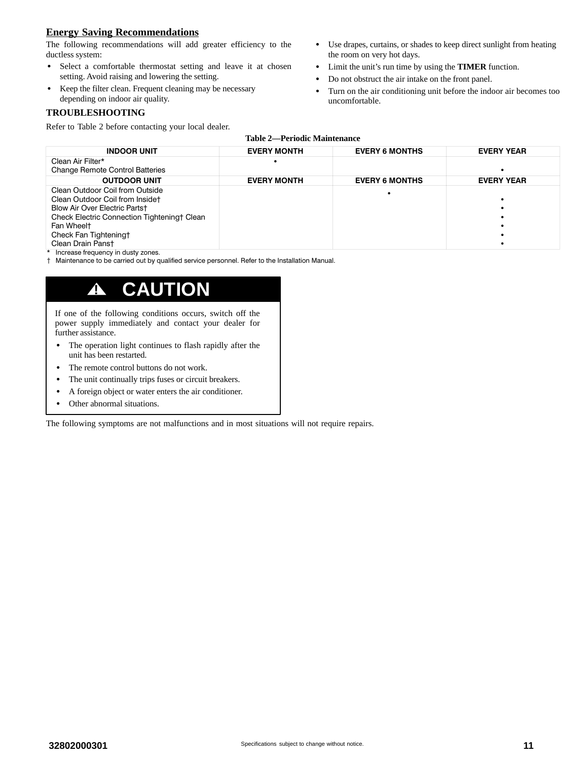# <span id="page-10-0"></span>**Energy Saving Recommendations**

The following recommendations will add greater efficiency to the ductless system:

- $\bullet$  Select a comfortable thermostat setting and leave it at chosen setting. Avoid raising and lowering the setting.
- - Keep the filter clean. Frequent cleaning may be necessary depending on indoor air quality.

## **TROUBLESHOOTING**

Refer to Table 2 before contacting your local dealer.

- Use drapes, curtains, or shades to keep direct sunlight from heating the room on very hot days.
- Limit the unit's run time by using the **TIMER** function.
- -Do not obstruct the air intake on the front panel.
- - Turn on the air conditioning unit before the indoor air becomes too uncomfortable.

| <b>INDOOR UNIT</b>                                 | <b>EVERY MONTH</b> | <b>EVERY 6 MONTHS</b> | <b>EVERY YEAR</b> |
|----------------------------------------------------|--------------------|-----------------------|-------------------|
| Clean Air Filter*                                  |                    |                       |                   |
| <b>Change Remote Control Batteries</b>             |                    |                       |                   |
| <b>OUTDOOR UNIT</b>                                | <b>EVERY MONTH</b> | <b>EVERY 6 MONTHS</b> | <b>EVERY YEAR</b> |
| Clean Outdoor Coil from Outside                    |                    |                       |                   |
| Clean Outdoor Coil from Insidet                    |                    |                       |                   |
| Blow Air Over Electric Partst                      |                    |                       |                   |
| <b>Check Electric Connection Tighteningt Clean</b> |                    |                       |                   |
| Fan Wheelt                                         |                    |                       |                   |
| Check Fan Tighteningt                              |                    |                       |                   |
| Clean Drain Panst                                  |                    |                       |                   |

\* Increase frequency in dusty zones.

Maintenance to be carried out by qualified service personnel. Refer to the Installation Manual.

# **! CAUTION**

If one of the following conditions occurs, switch off the power supply immediately and contact your dealer for further assistance.

- - The operation light continues to flash rapidly after the unit has been restarted.
- -The remote control buttons do not work.
- -The unit continually trips fuses or circuit breakers.
- $\bullet$ A foreign object or water enters the air conditioner.
- -Other abnormal situations.

The following symptoms are not malfunctions and in most situations will not require repairs.